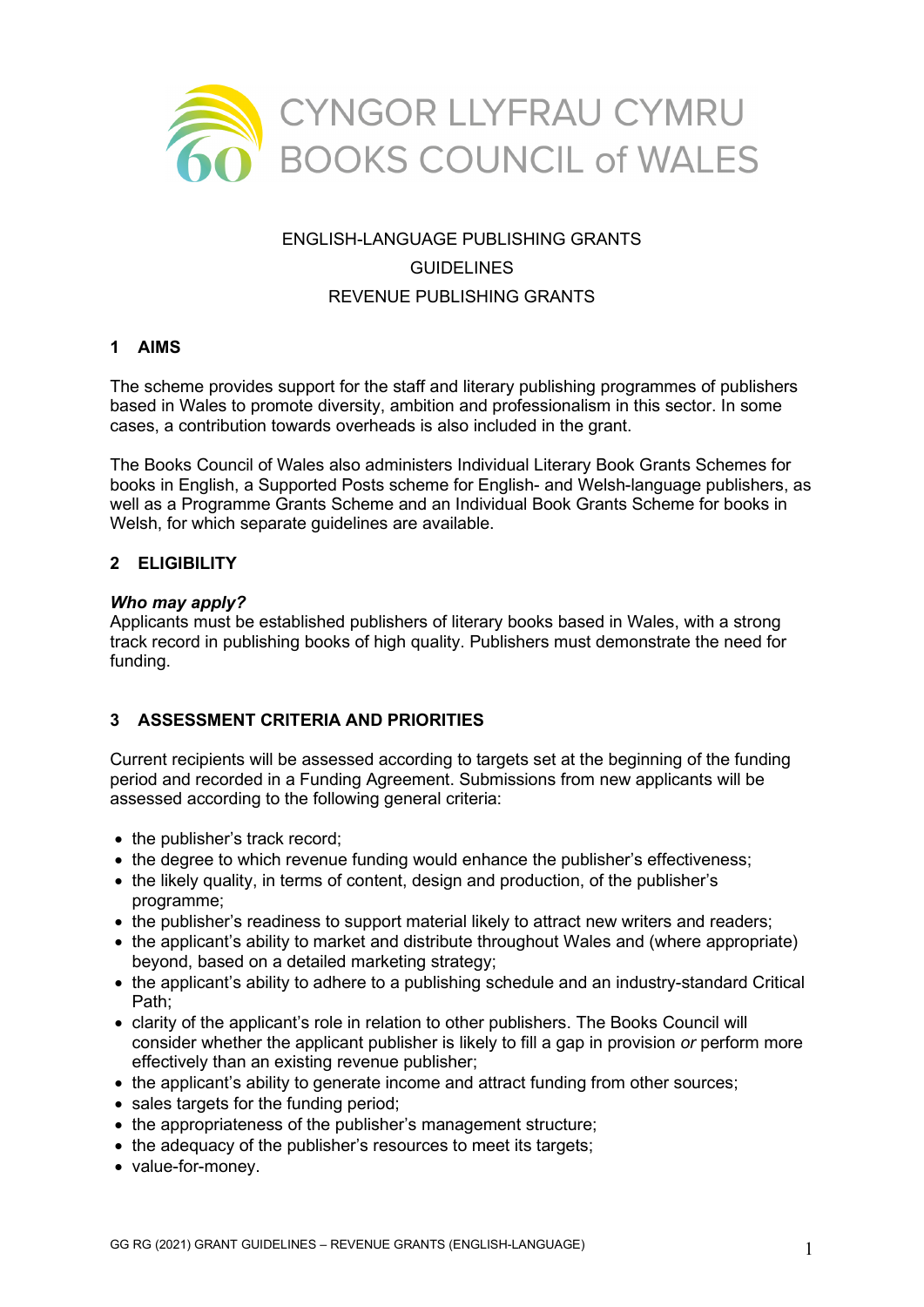

# ENGLISH-LANGUAGE PUBLISHING GRANTS GUIDELINES REVENUE PUBLISHING GRANTS

## **1 AIMS**

The scheme provides support for the staff and literary publishing programmes of publishers based in Wales to promote diversity, ambition and professionalism in this sector. In some cases, a contribution towards overheads is also included in the grant.

The Books Council of Wales also administers Individual Literary Book Grants Schemes for books in English, a Supported Posts scheme for English- and Welsh-language publishers, as well as a Programme Grants Scheme and an Individual Book Grants Scheme for books in Welsh, for which separate guidelines are available.

#### **2 ELIGIBILITY**

#### *Who may apply?*

Applicants must be established publishers of literary books based in Wales, with a strong track record in publishing books of high quality. Publishers must demonstrate the need for funding.

## **3 ASSESSMENT CRITERIA AND PRIORITIES**

Current recipients will be assessed according to targets set at the beginning of the funding period and recorded in a Funding Agreement. Submissions from new applicants will be assessed according to the following general criteria:

- the publisher's track record;
- the degree to which revenue funding would enhance the publisher's effectiveness;
- the likely quality, in terms of content, design and production, of the publisher's programme;
- the publisher's readiness to support material likely to attract new writers and readers;
- the applicant's ability to market and distribute throughout Wales and (where appropriate) beyond, based on a detailed marketing strategy;
- the applicant's ability to adhere to a publishing schedule and an industry-standard Critical Path;
- clarity of the applicant's role in relation to other publishers. The Books Council will consider whether the applicant publisher is likely to fill a gap in provision *or* perform more effectively than an existing revenue publisher;
- the applicant's ability to generate income and attract funding from other sources;
- sales targets for the funding period;
- the appropriateness of the publisher's management structure;
- the adequacy of the publisher's resources to meet its targets;
- value-for-money.